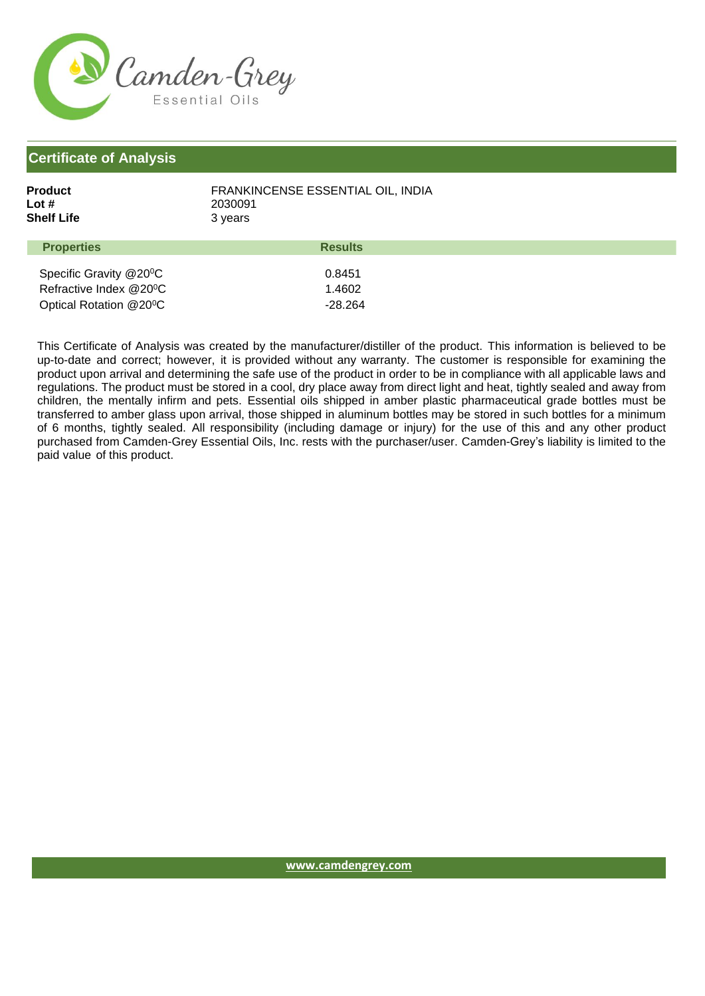

## **Certificate of Analysis**

| Product           | FRANKINCENSE ESSENTIAL OIL. INDIA |
|-------------------|-----------------------------------|
| Lot #             | 2030091                           |
| Shelf Life        | 3 years                           |
| <b>Properties</b> | <b>Results</b>                    |

| -------------                       |         |
|-------------------------------------|---------|
|                                     |         |
| Specific Gravity @20 <sup>o</sup> C | 0.8451  |
| Refractive Index @20 <sup>o</sup> C | 1.4602  |
| Optical Rotation @20 <sup>o</sup> C | -28.264 |

This Certificate of Analysis was created by the manufacturer/distiller of the product. This information is believed to be up-to-date and correct; however, it is provided without any warranty. The customer is responsible for examining the product upon arrival and determining the safe use of the product in order to be in compliance with all applicable laws and regulations. The product must be stored in a cool, dry place away from direct light and heat, tightly sealed and away from children, the mentally infirm and pets. Essential oils shipped in amber plastic pharmaceutical grade bottles must be transferred to amber glass upon arrival, those shipped in aluminum bottles may be stored in such bottles for a minimum of 6 months, tightly sealed. All responsibility (including damage or injury) for the use of this and any other product purchased from Camden-Grey Essential Oils, Inc. rests with the purchaser/user. Camden-Grey's liability is limited to the paid value of this product.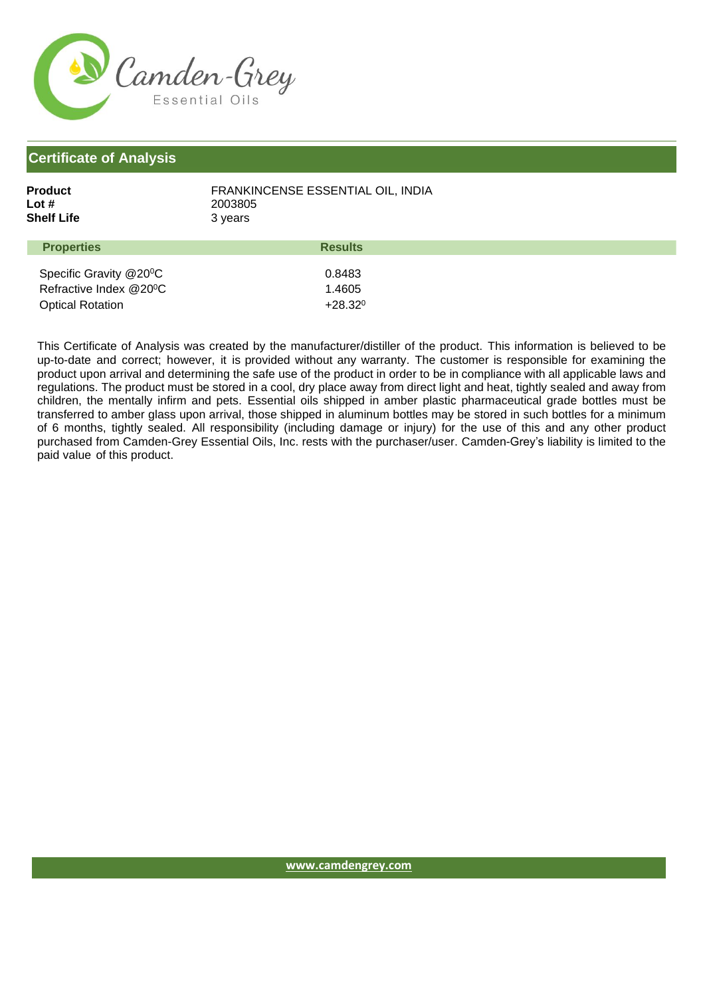

## **Certificate of Analysis**

| Product           | FRANKINCENSE ESSENTIAL OIL. INDIA |
|-------------------|-----------------------------------|
| Lot #             | 2003805                           |
| Shelf Life        | 3 years                           |
| Daniel Contractor | 6.                                |

| <b>Properties</b>                   | <b>Results</b>   |
|-------------------------------------|------------------|
|                                     |                  |
| Specific Gravity @20 <sup>o</sup> C | 0.8483           |
| Refractive Index @20 <sup>o</sup> C | 1.4605           |
| <b>Optical Rotation</b>             | $+28.32^{\circ}$ |

This Certificate of Analysis was created by the manufacturer/distiller of the product. This information is believed to be up-to-date and correct; however, it is provided without any warranty. The customer is responsible for examining the product upon arrival and determining the safe use of the product in order to be in compliance with all applicable laws and regulations. The product must be stored in a cool, dry place away from direct light and heat, tightly sealed and away from children, the mentally infirm and pets. Essential oils shipped in amber plastic pharmaceutical grade bottles must be transferred to amber glass upon arrival, those shipped in aluminum bottles may be stored in such bottles for a minimum of 6 months, tightly sealed. All responsibility (including damage or injury) for the use of this and any other product purchased from Camden-Grey Essential Oils, Inc. rests with the purchaser/user. Camden-Grey's liability is limited to the paid value of this product.

**[www.camdengrey.com](http://www.camdengrey.com/)**